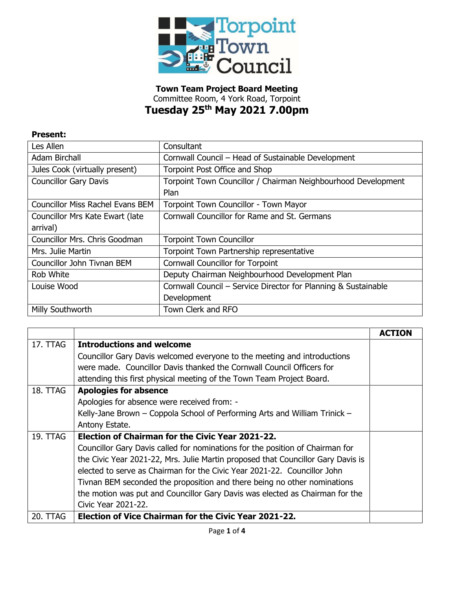

**Town Team Project Board Meeting** Committee Room, 4 York Road, Torpoint **Tuesday 25th May 2021 7.00pm**

## **Present:**

| Les Allen                               | Consultant                                                     |
|-----------------------------------------|----------------------------------------------------------------|
| <b>Adam Birchall</b>                    | Cornwall Council - Head of Sustainable Development             |
| Jules Cook (virtually present)          | Torpoint Post Office and Shop                                  |
| <b>Councillor Gary Davis</b>            | Torpoint Town Councillor / Chairman Neighbourhood Development  |
|                                         | Plan                                                           |
| <b>Councillor Miss Rachel Evans BEM</b> | <b>Torpoint Town Councillor - Town Mayor</b>                   |
| Councillor Mrs Kate Ewart (late         | Cornwall Councillor for Rame and St. Germans                   |
| arrival)                                |                                                                |
| Councillor Mrs. Chris Goodman           | <b>Torpoint Town Councillor</b>                                |
| Mrs. Julie Martin                       | Torpoint Town Partnership representative                       |
| Councillor John Tivnan BEM              | <b>Cornwall Councillor for Torpoint</b>                        |
| Rob White                               | Deputy Chairman Neighbourhood Development Plan                 |
| Louise Wood                             | Cornwall Council – Service Director for Planning & Sustainable |
|                                         | Development                                                    |
| Milly Southworth                        | Town Clerk and RFO                                             |

|                 |                                                                                  | <b>ACTION</b> |
|-----------------|----------------------------------------------------------------------------------|---------------|
| <b>17. TTAG</b> | <b>Introductions and welcome</b>                                                 |               |
|                 | Councillor Gary Davis welcomed everyone to the meeting and introductions         |               |
|                 | were made. Councillor Davis thanked the Cornwall Council Officers for            |               |
|                 | attending this first physical meeting of the Town Team Project Board.            |               |
| 18. TTAG        | <b>Apologies for absence</b>                                                     |               |
|                 | Apologies for absence were received from: -                                      |               |
|                 | Kelly-Jane Brown - Coppola School of Performing Arts and William Trinick -       |               |
|                 | Antony Estate.                                                                   |               |
| 19. TTAG        | <b>Election of Chairman for the Civic Year 2021-22.</b>                          |               |
|                 | Councillor Gary Davis called for nominations for the position of Chairman for    |               |
|                 | the Civic Year 2021-22, Mrs. Julie Martin proposed that Councillor Gary Davis is |               |
|                 | elected to serve as Chairman for the Civic Year 2021-22. Councillor John         |               |
|                 | Tivnan BEM seconded the proposition and there being no other nominations         |               |
|                 | the motion was put and Councillor Gary Davis was elected as Chairman for the     |               |
|                 | Civic Year 2021-22.                                                              |               |
| 20. TTAG        | <b>Election of Vice Chairman for the Civic Year 2021-22.</b>                     |               |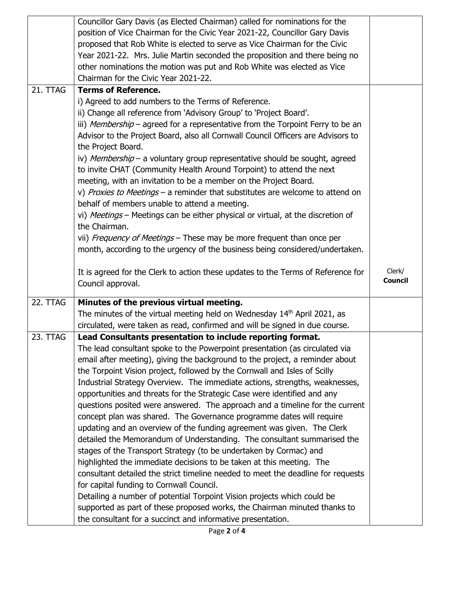|          | Councillor Gary Davis (as Elected Chairman) called for nominations for the           |                |
|----------|--------------------------------------------------------------------------------------|----------------|
|          | position of Vice Chairman for the Civic Year 2021-22, Councillor Gary Davis          |                |
|          | proposed that Rob White is elected to serve as Vice Chairman for the Civic           |                |
|          | Year 2021-22. Mrs. Julie Martin seconded the proposition and there being no          |                |
|          | other nominations the motion was put and Rob White was elected as Vice               |                |
|          | Chairman for the Civic Year 2021-22.                                                 |                |
| 21. TTAG | <b>Terms of Reference.</b>                                                           |                |
|          | i) Agreed to add numbers to the Terms of Reference.                                  |                |
|          | ii) Change all reference from 'Advisory Group' to 'Project Board'.                   |                |
|          | iii) Membership - agreed for a representative from the Torpoint Ferry to be an       |                |
|          | Advisor to the Project Board, also all Cornwall Council Officers are Advisors to     |                |
|          | the Project Board.                                                                   |                |
|          | iv) Membership - a voluntary group representative should be sought, agreed           |                |
|          | to invite CHAT (Community Health Around Torpoint) to attend the next                 |                |
|          | meeting, with an invitation to be a member on the Project Board.                     |                |
|          | v) Proxies to Meetings - a reminder that substitutes are welcome to attend on        |                |
|          | behalf of members unable to attend a meeting.                                        |                |
|          | vi) Meetings - Meetings can be either physical or virtual, at the discretion of      |                |
|          | the Chairman.                                                                        |                |
|          | vii) Frequency of Meetings - These may be more frequent than once per                |                |
|          | month, according to the urgency of the business being considered/undertaken.         |                |
|          |                                                                                      |                |
|          | It is agreed for the Clerk to action these updates to the Terms of Reference for     | Clerk/         |
|          | Council approval.                                                                    | <b>Council</b> |
|          |                                                                                      |                |
| 22. TTAG | Minutes of the previous virtual meeting.                                             |                |
|          | The minutes of the virtual meeting held on Wednesday 14 <sup>th</sup> April 2021, as |                |
|          | circulated, were taken as read, confirmed and will be signed in due course.          |                |
| 23. TTAG | Lead Consultants presentation to include reporting format.                           |                |
|          | The lead consultant spoke to the Powerpoint presentation (as circulated via          |                |
|          |                                                                                      |                |
|          | email after meeting), giving the background to the project, a reminder about         |                |
|          | the Torpoint Vision project, followed by the Cornwall and Isles of Scilly            |                |
|          | Industrial Strategy Overview. The immediate actions, strengths, weaknesses,          |                |
|          | opportunities and threats for the Strategic Case were identified and any             |                |
|          | questions posited were answered. The approach and a timeline for the current         |                |
|          | concept plan was shared. The Governance programme dates will require                 |                |
|          | updating and an overview of the funding agreement was given. The Clerk               |                |
|          | detailed the Memorandum of Understanding. The consultant summarised the              |                |
|          | stages of the Transport Strategy (to be undertaken by Cormac) and                    |                |
|          | highlighted the immediate decisions to be taken at this meeting. The                 |                |
|          | consultant detailed the strict timeline needed to meet the deadline for requests     |                |
|          | for capital funding to Cornwall Council.                                             |                |
|          | Detailing a number of potential Torpoint Vision projects which could be              |                |
|          | supported as part of these proposed works, the Chairman minuted thanks to            |                |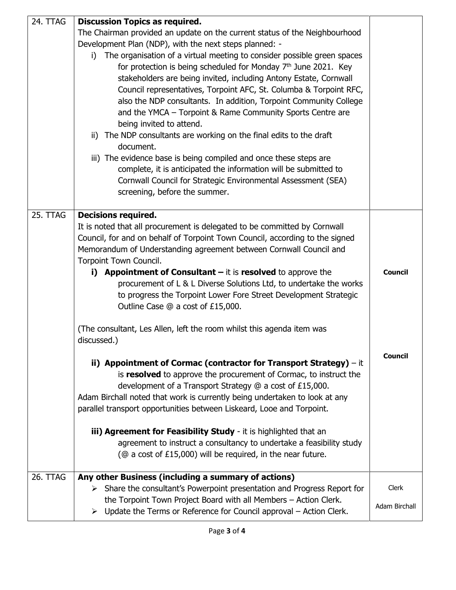| 24. TTAG        |                                                                                                                                                                                                                                                                                                                                                                                                                                                                                                                                                                                                                                                                                                                                                                                                                                                                                                                                                                                  |                               |
|-----------------|----------------------------------------------------------------------------------------------------------------------------------------------------------------------------------------------------------------------------------------------------------------------------------------------------------------------------------------------------------------------------------------------------------------------------------------------------------------------------------------------------------------------------------------------------------------------------------------------------------------------------------------------------------------------------------------------------------------------------------------------------------------------------------------------------------------------------------------------------------------------------------------------------------------------------------------------------------------------------------|-------------------------------|
|                 | <b>Discussion Topics as required.</b><br>The Chairman provided an update on the current status of the Neighbourhood<br>Development Plan (NDP), with the next steps planned: -<br>The organisation of a virtual meeting to consider possible green spaces<br>i).<br>for protection is being scheduled for Monday $7th$ June 2021. Key<br>stakeholders are being invited, including Antony Estate, Cornwall<br>Council representatives, Torpoint AFC, St. Columba & Torpoint RFC,<br>also the NDP consultants. In addition, Torpoint Community College<br>and the YMCA - Torpoint & Rame Community Sports Centre are<br>being invited to attend.<br>The NDP consultants are working on the final edits to the draft<br>ii)<br>document.<br>iii) The evidence base is being compiled and once these steps are<br>complete, it is anticipated the information will be submitted to<br>Cornwall Council for Strategic Environmental Assessment (SEA)<br>screening, before the summer. |                               |
| 25. TTAG        | <b>Decisions required.</b><br>It is noted that all procurement is delegated to be committed by Cornwall<br>Council, for and on behalf of Torpoint Town Council, according to the signed<br>Memorandum of Understanding agreement between Cornwall Council and<br>Torpoint Town Council.<br>i) Appointment of Consultant $-$ it is resolved to approve the<br>procurement of L & L Diverse Solutions Ltd, to undertake the works<br>to progress the Torpoint Lower Fore Street Development Strategic<br>Outline Case @ a cost of £15,000.<br>(The consultant, Les Allen, left the room whilst this agenda item was                                                                                                                                                                                                                                                                                                                                                                | <b>Council</b>                |
|                 | discussed.)<br>ii) Appointment of Cormac (contractor for Transport Strategy) $-$ it<br>is resolved to approve the procurement of Cormac, to instruct the<br>development of a Transport Strategy @ a cost of £15,000.<br>Adam Birchall noted that work is currently being undertaken to look at any<br>parallel transport opportunities between Liskeard, Looe and Torpoint.<br>iii) Agreement for Feasibility Study - it is highlighted that an<br>agreement to instruct a consultancy to undertake a feasibility study<br>( $@$ a cost of £15,000) will be required, in the near future.                                                                                                                                                                                                                                                                                                                                                                                        | Council                       |
| <b>26. TTAG</b> | Any other Business (including a summary of actions)<br>> Share the consultant's Powerpoint presentation and Progress Report for<br>the Torpoint Town Project Board with all Members - Action Clerk.<br>$\triangleright$ Update the Terms or Reference for Council approval – Action Clerk.                                                                                                                                                                                                                                                                                                                                                                                                                                                                                                                                                                                                                                                                                       | <b>Clerk</b><br>Adam Birchall |